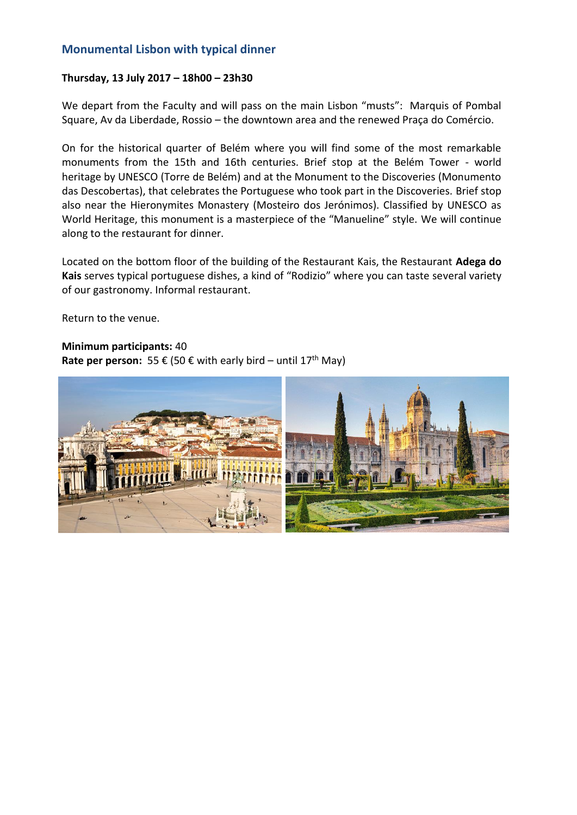# **Monumental Lisbon with typical dinner**

## **Thursday, 13 July 2017 – 18h00 – 23h30**

We depart from the Faculty and will pass on the main Lisbon "musts": Marquis of Pombal Square, Av da Liberdade, Rossio – the downtown area and the renewed Praça do Comércio.

On for the historical quarter of Belém where you will find some of the most remarkable monuments from the 15th and 16th centuries. Brief stop at the Belém Tower - world heritage by UNESCO (Torre de Belém) and at the Monument to the Discoveries (Monumento das Descobertas), that celebrates the Portuguese who took part in the Discoveries. Brief stop also near the Hieronymites Monastery (Mosteiro dos Jerónimos). Classified by UNESCO as World Heritage, this monument is a masterpiece of the "Manueline" style. We will continue along to the restaurant for dinner.

Located on the bottom floor of the building of the Restaurant Kais, the Restaurant **Adega do Kais** serves typical portuguese dishes, a kind of "Rodizio" where you can taste several variety of our gastronomy. Informal restaurant.

Return to the venue.

## **Minimum participants:** 40

**Rate per person:** 55 € (50 € with early bird – until 17<sup>th</sup> May)